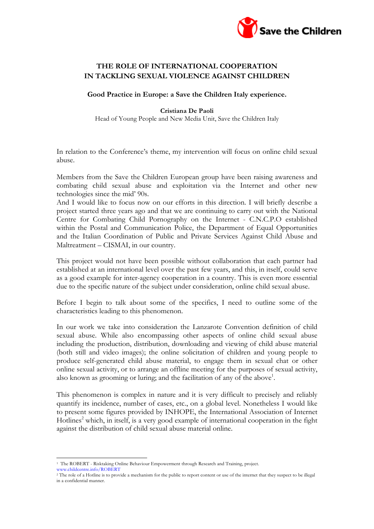

## **THE ROLE OF INTERNATIONAL COOPERATION IN TACKLING SEXUAL VIOLENCE AGAINST CHILDREN**

**Good Practice in Europe: a Save the Children Italy experience.**

## **Cristiana De Paoli**

Head of Young People and New Media Unit, Save the Children Italy

In relation to the Conference's theme, my intervention will focus on online child sexual abuse.

Members from the Save the Children European group have been raising awareness and combating child sexual abuse and exploitation via the Internet and other new technologies since the mid' 90s.

And I would like to focus now on our efforts in this direction. I will briefly describe a project started three years ago and that we are continuing to carry out with the National Centre for Combating Child Pornography on the Internet - C.N.C.P.O established within the Postal and Communication Police, the Department of Equal Opportunities and the Italian Coordination of Public and Private Services Against Child Abuse and Maltreatment – CISMAI, in our country.

This project would not have been possible without collaboration that each partner had established at an international level over the past few years, and this, in itself, could serve as a good example for inter-agency cooperation in a country. This is even more essential due to the specific nature of the subject under consideration, online child sexual abuse.

Before I begin to talk about some of the specifics, I need to outline some of the characteristics leading to this phenomenon.

In our work we take into consideration the Lanzarote Convention definition of child sexual abuse. While also encompassing other aspects of online child sexual abuse including the production, distribution, downloading and viewing of child abuse material (both still and video images); the online solicitation of children and young people to produce self-generated child abuse material, to engage them in sexual chat or other online sexual activity, or to arrange an offline meeting for the purposes of sexual activity, also known as grooming or luring; and the facilitation of any of the above<sup>1</sup>.

This phenomenon is complex in nature and it is very difficult to precisely and reliably quantify its incidence, number of cases, etc., on a global level. Nonetheless I would like to present some figures provided by INHOPE, the International Association of Internet Hotlines<sup>2</sup> which, in itself, is a very good example of international cooperation in the fight against the distribution of child sexual abuse material online.

 <sup>1</sup> The ROBERT - Risktaking Online Behaviour Empowerment through Research and Training, project.

www.childcentre.info/ROBERT

<sup>&</sup>lt;sup>2</sup> The role of a Hotline is to provide a mechanism for the public to report content or use of the internet that they suspect to be illegal in a confidential manner.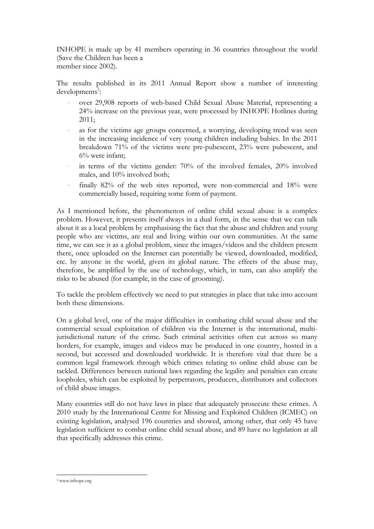INHOPE is made up by 41 members operating in 36 countries throughout the world (Save the Children has been a member since 2002).

The results published in its 2011 Annual Report show a number of interesting developments<sup>3</sup>:

- over 29,908 reports of web-based Child Sexual Abuse Material, representing a 24% increase on the previous year, were processed by INHOPE Hotlines during 2011;
- as for the victims age groups concerned, a worrying, developing trend was seen in the increasing incidence of very young children including babies. In the 2011 breakdown 71% of the victims were pre-pubescent, 23% were pubescent, and 6% were infant;
- in terms of the victims gender: 70% of the involved females, 20% involved males, and 10% involved both;
- finally 82% of the web sites reported, were non-commercial and 18% were commercially based, requiring some form of payment.

As I mentioned before, the phenomenon of online child sexual abuse is a complex problem. However, it presents itself always in a dual form, in the sense that we can talk about it as a local problem by emphasising the fact that the abuse and children and young people who are victims, are real and living within our own communities. At the same time, we can see it as a global problem, since the images/videos and the children present there, once uploaded on the Internet can potentially be viewed, downloaded, modified, etc. by anyone in the world, given its global nature. The effects of the abuse may, therefore, be amplified by the use of technology, which, in turn, can also amplify the risks to be abused (for example, in the case of grooming).

To tackle the problem effectively we need to put strategies in place that take into account both these dimensions.

On a global level, one of the major difficulties in combating child sexual abuse and the commercial sexual exploitation of children via the Internet is the international, multijurisdictional nature of the crime. Such criminal activities often cut across so many borders, for example, images and videos may be produced in one country, hosted in a second, but accessed and downloaded worldwide. It is therefore vital that there be a common legal framework through which crimes relating to online child abuse can be tackled. Differences between national laws regarding the legality and penalties can create loopholes, which can be exploited by perpetrators, producers, distributors and collectors of child abuse images.

Many countries still do not have laws in place that adequately prosecute these crimes. A 2010 study by the International Centre for Missing and Exploited Children (ICMEC) on existing legislation, analysed 196 countries and showed, among other, that only 45 have legislation sufficient to combat online child sexual abuse, and 89 have no legislation at all that specifically addresses this crime.

 <sup>3</sup> www.inhope.org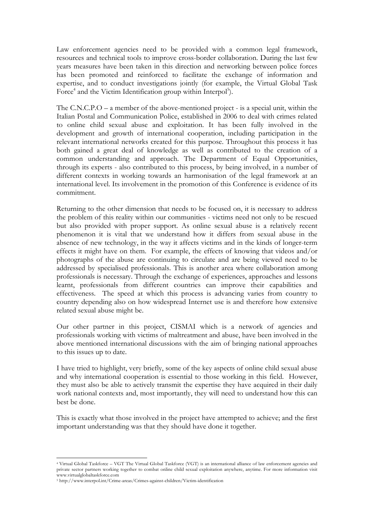Law enforcement agencies need to be provided with a common legal framework, resources and technical tools to improve cross-border collaboration. During the last few years measures have been taken in this direction and networking between police forces has been promoted and reinforced to facilitate the exchange of information and expertise, and to conduct investigations jointly (for example, the Virtual Global Task Force<sup>4</sup> and the Victim Identification group within Interpol<sup>5</sup>).

The C.N.C.P.O – a member of the above-mentioned project - is a special unit, within the Italian Postal and Communication Police, established in 2006 to deal with crimes related to online child sexual abuse and exploitation. It has been fully involved in the development and growth of international cooperation, including participation in the relevant international networks created for this purpose. Throughout this process it has both gained a great deal of knowledge as well as contributed to the creation of a common understanding and approach. The Department of Equal Opportunities, through its experts - also contributed to this process, by being involved, in a number of different contexts in working towards an harmonisation of the legal framework at an international level. Its involvement in the promotion of this Conference is evidence of its commitment.

Returning to the other dimension that needs to be focused on, it is necessary to address the problem of this reality within our communities - victims need not only to be rescued but also provided with proper support. As online sexual abuse is a relatively recent phenomenon it is vital that we understand how it differs from sexual abuse in the absence of new technology, in the way it affects victims and in the kinds of longer-term effects it might have on them. For example, the effects of knowing that videos and/or photographs of the abuse are continuing to circulate and are being viewed need to be addressed by specialised professionals. This is another area where collaboration among professionals is necessary. Through the exchange of experiences, approaches and lessons learnt, professionals from different countries can improve their capabilities and effectiveness. The speed at which this process is advancing varies from country to country depending also on how widespread Internet use is and therefore how extensive related sexual abuse might be.

Our other partner in this project, CISMAI which is a network of agencies and professionals working with victims of maltreatment and abuse, have been involved in the above mentioned international discussions with the aim of bringing national approaches to this issues up to date.

I have tried to highlight, very briefly, some of the key aspects of online child sexual abuse and why international cooperation is essential to those working in this field. However, they must also be able to actively transmit the expertise they have acquired in their daily work national contexts and, most importantly, they will need to understand how this can best be done.

This is exactly what those involved in the project have attempted to achieve; and the first important understanding was that they should have done it together.

 

<sup>4</sup> Virtual Global Taskforce – VGT The Virtual Global Taskforce (VGT) is an international alliance of law enforcement agencies and private sector partners working together to combat online child sexual exploitation anywhere, anytime. For more information visit www.virtualglobaltaskforce.com

<sup>5</sup> http://www.interpol.int/Crime-areas/Crimes-against-children/Victim-identification